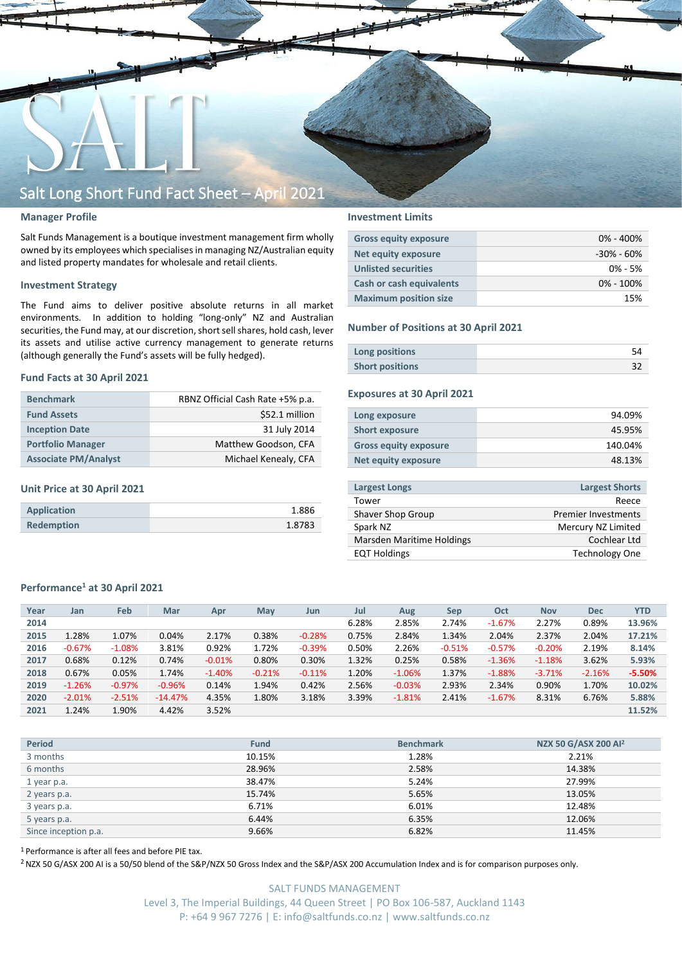

## **Manager Profile**

Salt Funds Management is a boutique investment management firm wholly owned by its employees which specialisesin managing NZ/Australian equity and listed property mandates for wholesale and retail clients.

### **Investment Strategy**

The Fund aims to deliver positive absolute returns in all market environments. In addition to holding "long-only" NZ and Australian securities, the Fund may, at our discretion, short sell shares, hold cash, lever its assets and utilise active currency management to generate returns (although generally the Fund's assets will be fully hedged).

### **Fund Facts at 30 April 2021**

| <b>Benchmark</b>            | RBNZ Official Cash Rate +5% p.a. |
|-----------------------------|----------------------------------|
| <b>Fund Assets</b>          | \$52.1 million                   |
| <b>Inception Date</b>       | 31 July 2014                     |
| <b>Portfolio Manager</b>    | Matthew Goodson, CFA             |
| <b>Associate PM/Analyst</b> | Michael Kenealy, CFA             |

## **Unit Price at 30 April 2021**

| Application       | 1.886  |
|-------------------|--------|
| <b>Redemption</b> | 1.8783 |

## **Investment Limits**

| <b>Gross equity exposure</b> | $0\% - 400\%$  |
|------------------------------|----------------|
| Net equity exposure          | $-30\% - 60\%$ |
| <b>Unlisted securities</b>   | $0\% - 5\%$    |
| Cash or cash equivalents     | $0\% - 100\%$  |
| <b>Maximum position size</b> | 15%            |

### **Number of Positions at 30 April 2021**

| Long positions         |  |
|------------------------|--|
| <b>Short positions</b> |  |

## **Exposures at 30 April 2021**

| Long exposure                | 94.09%  |
|------------------------------|---------|
| <b>Short exposure</b>        | 45.95%  |
| <b>Gross equity exposure</b> | 140.04% |
| Net equity exposure          | 48.13%  |
|                              |         |

| <b>Largest Longs</b>      | <b>Largest Shorts</b>      |
|---------------------------|----------------------------|
| Tower                     | Reece                      |
| Shaver Shop Group         | <b>Premier Investments</b> |
| Spark NZ                  | Mercury NZ Limited         |
| Marsden Maritime Holdings | Cochlear Ltd               |
| <b>EQT Holdings</b>       | <b>Technology One</b>      |
|                           |                            |

## **Performance<sup>1</sup> at 30 April 2021**

| Year | Jan      | Feb       | Mar       | Apr      | May      | Jun      | Jul   | Aug      | <b>Sep</b> | Oct      | <b>Nov</b> | <b>Dec</b> | <b>YTD</b> |
|------|----------|-----------|-----------|----------|----------|----------|-------|----------|------------|----------|------------|------------|------------|
| 2014 |          |           |           |          |          |          | 6.28% | 2.85%    | 2.74%      | $-1.67%$ | 2.27%      | 0.89%      | 13.96%     |
| 2015 | 1.28%    | 1.07%     | 0.04%     | 2.17%    | 0.38%    | $-0.28%$ | 0.75% | 2.84%    | 1.34%      | 2.04%    | 2.37%      | 2.04%      | 17.21%     |
| 2016 | $-0.67%$ | $-1.08%$  | 3.81%     | 0.92%    | 1.72%    | $-0.39%$ | 0.50% | 2.26%    | $-0.51%$   | $-0.57%$ | $-0.20%$   | 2.19%      | 8.14%      |
| 2017 | 0.68%    | 0.12%     | 0.74%     | $-0.01%$ | 0.80%    | 0.30%    | 1.32% | 0.25%    | 0.58%      | $-1.36%$ | $-1.18%$   | 3.62%      | 5.93%      |
| 2018 | 0.67%    | 0.05%     | 1.74%     | $-1.40%$ | $-0.21%$ | $-0.11%$ | 1.20% | $-1.06%$ | 1.37%      | $-1.88%$ | $-3.71%$   | $-2.16%$   | $-5.50%$   |
| 2019 | $-1.26%$ | $-0.97\%$ | $-0.96%$  | 0.14%    | 1.94%    | 0.42%    | 2.56% | $-0.03%$ | 2.93%      | 2.34%    | 0.90%      | 1.70%      | 10.02%     |
| 2020 | $-2.01%$ | $-2.51%$  | $-14.47%$ | 4.35%    | 1.80%    | 3.18%    | 3.39% | $-1.81%$ | 2.41%      | $-1.67%$ | 8.31%      | 6.76%      | 5.88%      |
| 2021 | 1.24%    | 1.90%     | 4.42%     | 3.52%    |          |          |       |          |            |          |            |            | 11.52%     |
|      |          |           |           |          |          |          |       |          |            |          |            |            |            |

| <b>Period</b>        | <b>Fund</b> | <b>Benchmark</b> | NZX 50 G/ASX 200 Al <sup>2</sup> |
|----------------------|-------------|------------------|----------------------------------|
| 3 months             | 10.15%      | 1.28%            | 2.21%                            |
| 6 months             | 28.96%      | 2.58%            | 14.38%                           |
| 1 year p.a.          | 38.47%      | 5.24%            | 27.99%                           |
| 2 years p.a.         | 15.74%      | 5.65%            | 13.05%                           |
| 3 years p.a.         | 6.71%       | 6.01%            | 12.48%                           |
| 5 years p.a.         | 6.44%       | 6.35%            | 12.06%                           |
| Since inception p.a. | 9.66%       | 6.82%            | 11.45%                           |

<sup>1</sup> Performance is after all fees and before PIE tax.

<sup>2</sup> NZX 50 G/ASX 200 AI is a 50/50 blend of the S&P/NZX 50 Gross Index and the S&P/ASX 200 Accumulation Index and is for comparison purposes only.

SALT FUNDS MANAGEMENT Level 3, The Imperial Buildings, 44 Queen Street | PO Box 106-587, Auckland 1143 P: +64 9 967 7276 | E: info@saltfunds.co.nz | www.saltfunds.co.nz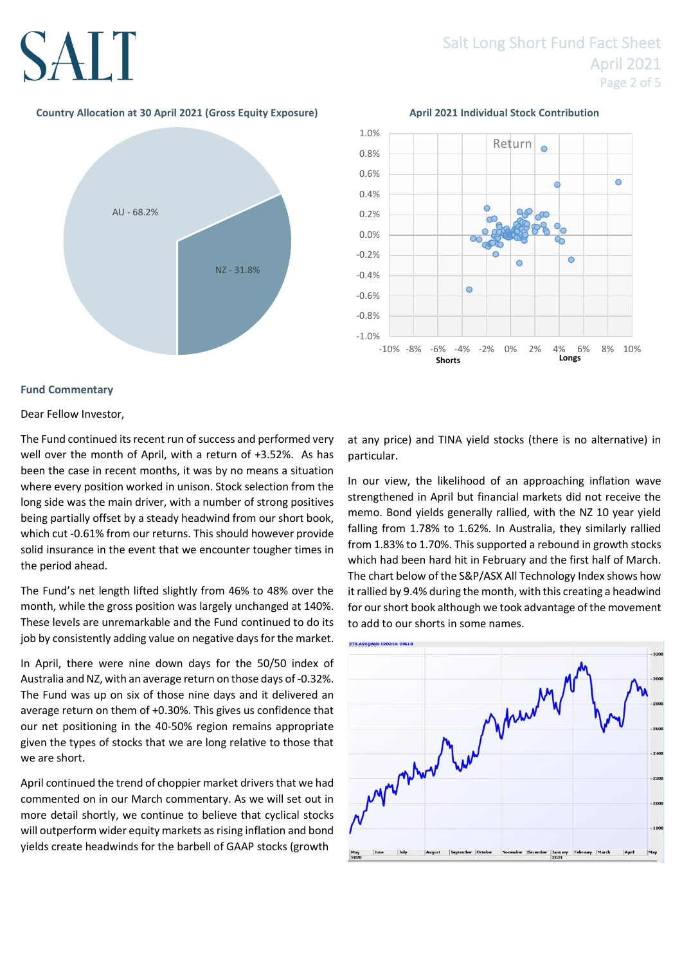## **Country Allocation at 30 April 2021 (Gross Equity Exposure) April 2021 Individual Stock Contribution**





## **Fund Commentary**

## Dear Fellow Investor,

The Fund continued its recent run of success and performed very well over the month of April, with a return of +3.52%. As has been the case in recent months, it was by no means a situation where every position worked in unison. Stock selection from the long side was the main driver, with a number of strong positives being partially offset by a steady headwind from our short book, which cut -0.61% from our returns. This should however provide solid insurance in the event that we encounter tougher times in the period ahead.

The Fund's net length lifted slightly from 46% to 48% over the month, while the gross position was largely unchanged at 140%. These levels are unremarkable and the Fund continued to do its job by consistently adding value on negative days for the market.

In April, there were nine down days for the 50/50 index of Australia and NZ, with an average return on those days of -0.32%. The Fund was up on six of those nine days and it delivered an average return on them of +0.30%. This gives us confidence that our net positioning in the 40-50% region remains appropriate given the types of stocks that we are long relative to those that we are short.

April continued the trend of choppier market drivers that we had commented on in our March commentary. As we will set out in more detail shortly, we continue to believe that cyclical stocks will outperform wider equity markets as rising inflation and bond yields create headwinds for the barbell of GAAP stocks (growth

at any price) and TINA yield stocks (there is no alternative) in particular.

In our view, the likelihood of an approaching inflation wave strengthened in April but financial markets did not receive the memo. Bond yields generally rallied, with the NZ 10 year yield falling from 1.78% to 1.62%. In Australia, they similarly rallied from 1.83% to 1.70%. This supported a rebound in growth stocks which had been hard hit in February and the first half of March. The chart below of the S&P/ASX All Technology Index shows how it rallied by 9.4% during the month, with this creating a headwind for our short book although we took advantage of the movement to add to our shorts in some names.

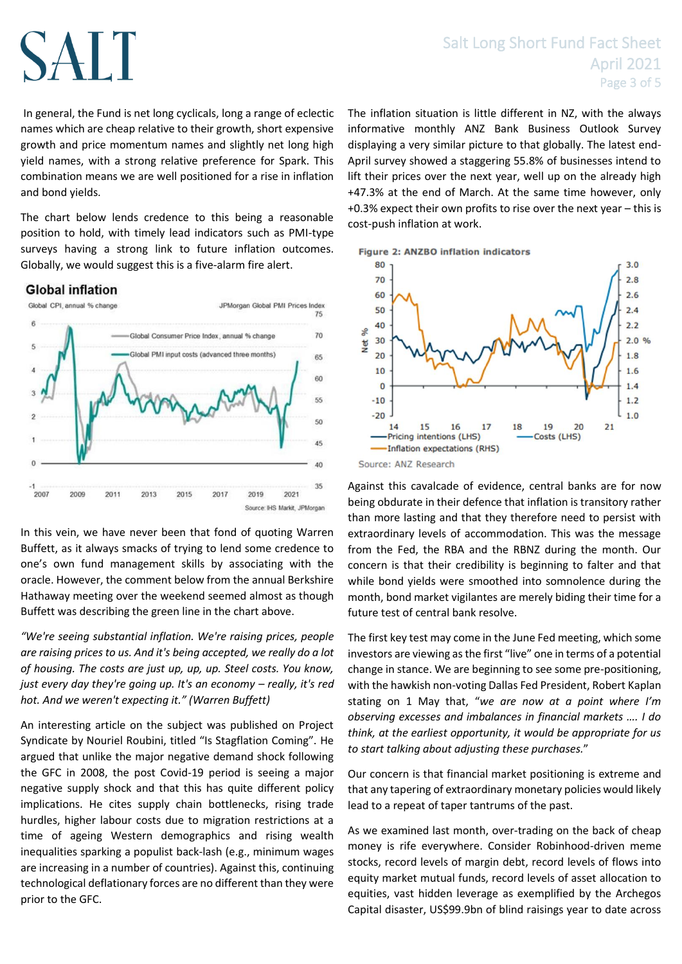## Salt Long Short Fund Fact Sheet April 2021 Page 3 of 5

In general, the Fund is net long cyclicals, long a range of eclectic names which are cheap relative to their growth, short expensive growth and price momentum names and slightly net long high yield names, with a strong relative preference for Spark. This combination means we are well positioned for a rise in inflation and bond yields.

The chart below lends credence to this being a reasonable position to hold, with timely lead indicators such as PMI-type surveys having a strong link to future inflation outcomes. Globally, we would suggest this is a five-alarm fire alert.

## **Global inflation**



In this vein, we have never been that fond of quoting Warren Buffett, as it always smacks of trying to lend some credence to one's own fund management skills by associating with the oracle. However, the comment below from the annual Berkshire Hathaway meeting over the weekend seemed almost as though Buffett was describing the green line in the chart above.

*"We're seeing substantial inflation. We're raising prices, people are raising prices to us. And it's being accepted, we really do a lot of housing. The costs are just up, up, up. Steel costs. You know, just every day they're going up. It's an economy – really, it's red hot. And we weren't expecting it." (Warren Buffett)*

An interesting article on the subject was published on Project Syndicate by Nouriel Roubini, titled "Is Stagflation Coming". He argued that unlike the major negative demand shock following the GFC in 2008, the post Covid-19 period is seeing a major negative supply shock and that this has quite different policy implications. He cites supply chain bottlenecks, rising trade hurdles, higher labour costs due to migration restrictions at a time of ageing Western demographics and rising wealth inequalities sparking a populist back-lash (e.g., minimum wages are increasing in a number of countries). Against this, continuing technological deflationary forces are no different than they were prior to the GFC.

The inflation situation is little different in NZ, with the always informative monthly ANZ Bank Business Outlook Survey displaying a very similar picture to that globally. The latest end-April survey showed a staggering 55.8% of businesses intend to lift their prices over the next year, well up on the already high +47.3% at the end of March. At the same time however, only +0.3% expect their own profits to rise over the next year – this is cost-push inflation at work.

**Figure 2: ANZBO inflation indicators** 



Against this cavalcade of evidence, central banks are for now being obdurate in their defence that inflation is transitory rather than more lasting and that they therefore need to persist with extraordinary levels of accommodation. This was the message from the Fed, the RBA and the RBNZ during the month. Our concern is that their credibility is beginning to falter and that while bond yields were smoothed into somnolence during the month, bond market vigilantes are merely biding their time for a future test of central bank resolve.

The first key test may come in the June Fed meeting, which some investors are viewing as the first "live" one in terms of a potential change in stance. We are beginning to see some pre-positioning, with the hawkish non-voting Dallas Fed President, Robert Kaplan stating on 1 May that, "*we are now at a point where I'm observing excesses and imbalances in financial markets …. I do think, at the earliest opportunity, it would be appropriate for us to start talking about adjusting these purchases.*"

Our concern is that financial market positioning is extreme and that any tapering of extraordinary monetary policies would likely lead to a repeat of taper tantrums of the past.

As we examined last month, over-trading on the back of cheap money is rife everywhere. Consider Robinhood-driven meme stocks, record levels of margin debt, record levels of flows into equity market mutual funds, record levels of asset allocation to equities, vast hidden leverage as exemplified by the Archegos Capital disaster, US\$99.9bn of blind raisings year to date across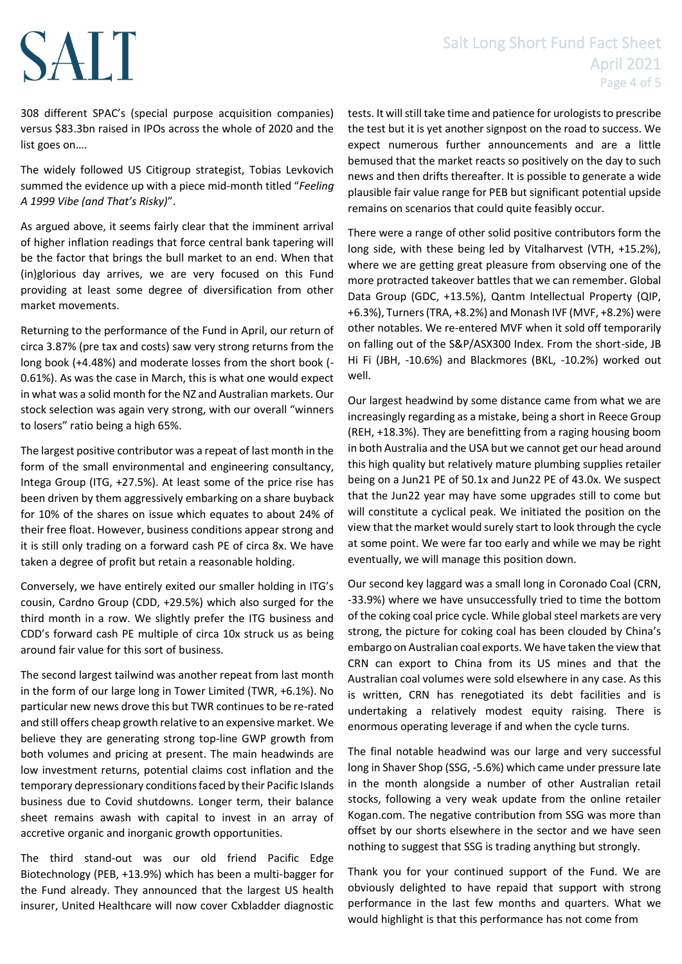## Salt Long Short Fund Fact Sheet April 2021 Page 4 of 5

308 different SPAC's (special purpose acquisition companies) versus \$83.3bn raised in IPOs across the whole of 2020 and the list goes on….

The widely followed US Citigroup strategist, Tobias Levkovich summed the evidence up with a piece mid-month titled "*Feeling A 1999 Vibe (and That's Risky)*".

As argued above, it seems fairly clear that the imminent arrival of higher inflation readings that force central bank tapering will be the factor that brings the bull market to an end. When that (in)glorious day arrives, we are very focused on this Fund providing at least some degree of diversification from other market movements.

Returning to the performance of the Fund in April, our return of circa 3.87% (pre tax and costs) saw very strong returns from the long book (+4.48%) and moderate losses from the short book (- 0.61%). As was the case in March, this is what one would expect in what was a solid month for the NZ and Australian markets. Our stock selection was again very strong, with our overall "winners to losers" ratio being a high 65%.

The largest positive contributor was a repeat of last month in the form of the small environmental and engineering consultancy, Intega Group (ITG, +27.5%). At least some of the price rise has been driven by them aggressively embarking on a share buyback for 10% of the shares on issue which equates to about 24% of their free float. However, business conditions appear strong and it is still only trading on a forward cash PE of circa 8x. We have taken a degree of profit but retain a reasonable holding.

Conversely, we have entirely exited our smaller holding in ITG's cousin, Cardno Group (CDD, +29.5%) which also surged for the third month in a row. We slightly prefer the ITG business and CDD's forward cash PE multiple of circa 10x struck us as being around fair value for this sort of business.

The second largest tailwind was another repeat from last month in the form of our large long in Tower Limited (TWR, +6.1%). No particular new news drove this but TWR continues to be re-rated and still offers cheap growth relative to an expensive market. We believe they are generating strong top-line GWP growth from both volumes and pricing at present. The main headwinds are low investment returns, potential claims cost inflation and the temporary depressionary conditions faced by their Pacific Islands business due to Covid shutdowns. Longer term, their balance sheet remains awash with capital to invest in an array of accretive organic and inorganic growth opportunities.

The third stand-out was our old friend Pacific Edge Biotechnology (PEB, +13.9%) which has been a multi-bagger for the Fund already. They announced that the largest US health insurer, United Healthcare will now cover Cxbladder diagnostic

tests. It will still take time and patience for urologists to prescribe the test but it is yet another signpost on the road to success. We expect numerous further announcements and are a little bemused that the market reacts so positively on the day to such news and then drifts thereafter. It is possible to generate a wide plausible fair value range for PEB but significant potential upside remains on scenarios that could quite feasibly occur.

There were a range of other solid positive contributors form the long side, with these being led by Vitalharvest (VTH, +15.2%), where we are getting great pleasure from observing one of the more protracted takeover battles that we can remember. Global Data Group (GDC, +13.5%), Qantm Intellectual Property (QIP, +6.3%), Turners (TRA, +8.2%) and Monash IVF (MVF, +8.2%) were other notables. We re-entered MVF when it sold off temporarily on falling out of the S&P/ASX300 Index. From the short-side, JB Hi Fi (JBH, -10.6%) and Blackmores (BKL, -10.2%) worked out well.

Our largest headwind by some distance came from what we are increasingly regarding as a mistake, being a short in Reece Group (REH, +18.3%). They are benefitting from a raging housing boom in both Australia and the USA but we cannot get our head around this high quality but relatively mature plumbing supplies retailer being on a Jun21 PE of 50.1x and Jun22 PE of 43.0x. We suspect that the Jun22 year may have some upgrades still to come but will constitute a cyclical peak. We initiated the position on the view that the market would surely start to look through the cycle at some point. We were far too early and while we may be right eventually, we will manage this position down.

Our second key laggard was a small long in Coronado Coal (CRN, -33.9%) where we have unsuccessfully tried to time the bottom of the coking coal price cycle. While global steel markets are very strong, the picture for coking coal has been clouded by China's embargo on Australian coal exports. We have taken the view that CRN can export to China from its US mines and that the Australian coal volumes were sold elsewhere in any case. As this is written, CRN has renegotiated its debt facilities and is undertaking a relatively modest equity raising. There is enormous operating leverage if and when the cycle turns.

The final notable headwind was our large and very successful long in Shaver Shop (SSG, -5.6%) which came under pressure late in the month alongside a number of other Australian retail stocks, following a very weak update from the online retailer Kogan.com. The negative contribution from SSG was more than offset by our shorts elsewhere in the sector and we have seen nothing to suggest that SSG is trading anything but strongly.

Thank you for your continued support of the Fund. We are obviously delighted to have repaid that support with strong performance in the last few months and quarters. What we would highlight is that this performance has not come from